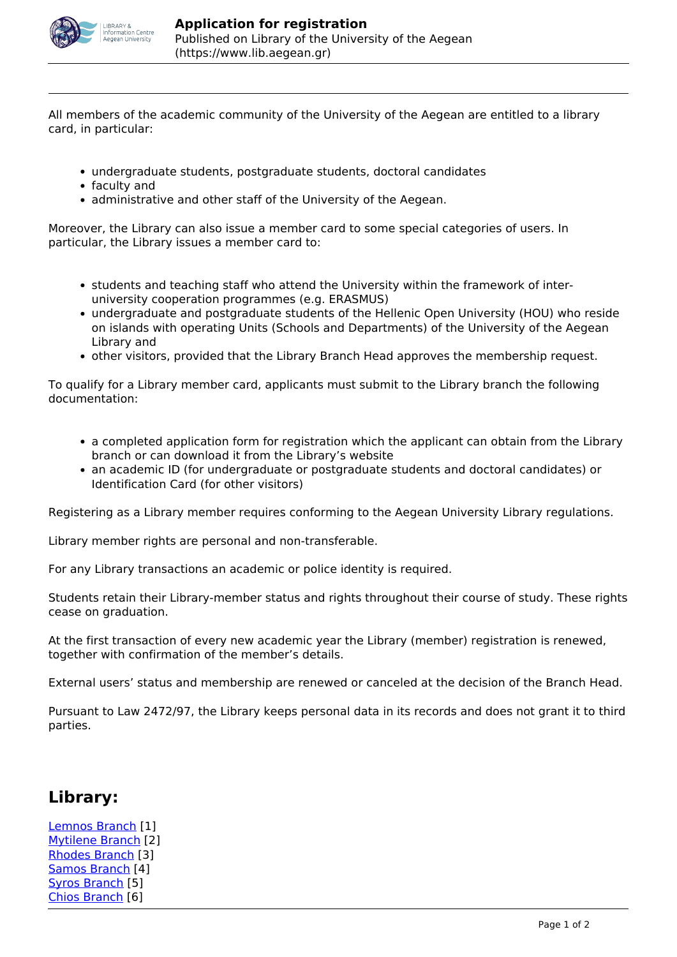

All members of the academic community of the University of the Aegean are entitled to a library card, in particular:

- undergraduate students, postgraduate students, doctoral candidates
- faculty and
- administrative and other staff of the University of the Aegean.

Moreover, the Library can also issue a member card to some special categories of users. In particular, the Library issues a member card to:

- students and teaching staff who attend the University within the framework of interuniversity cooperation programmes (e.g. ERASMUS)
- undergraduate and postgraduate students of the Hellenic Open University (HOU) who reside on islands with operating Units (Schools and Departments) of the University of the Aegean Library and
- other visitors, provided that the Library Branch Head approves the membership request.

To qualify for a Library member card, applicants must submit to the Library branch the following documentation:

- a completed application form for registration which the applicant can obtain from the Library branch or can download it from the Library's website
- an academic ID (for undergraduate or postgraduate students and doctoral candidates) or Identification Card (for other visitors)

Registering as a Library member requires conforming to the Aegean University Library regulations.

Library member rights are personal and non-transferable.

For any Library transactions an academic or police identity is required.

Students retain their Library-member status and rights throughout their course of study. These rights cease on graduation.

At the first transaction of every new academic year the Library (member) registration is renewed, together with confirmation of the member's details.

External users' status and membership are renewed or canceled at the decision of the Branch Head.

Pursuant to Law 2472/97, the Library keeps personal data in its records and does not grant it to third parties.

## **Library:**

[Lemnos Branch](https://www.lib.aegean.gr/en/lemnos-branch) [1] [Mytilene Branch](https://www.lib.aegean.gr/en/mytilene-branch) [2] [Rhodes Branch](https://www.lib.aegean.gr/en/rhodes-branch) [3] [Samos Branch](https://www.lib.aegean.gr/en/samos-branch) [4] [Syros Branch](https://www.lib.aegean.gr/en/syros-branch) [5] [Chios Branch](https://www.lib.aegean.gr/en/chios-branch) [6]